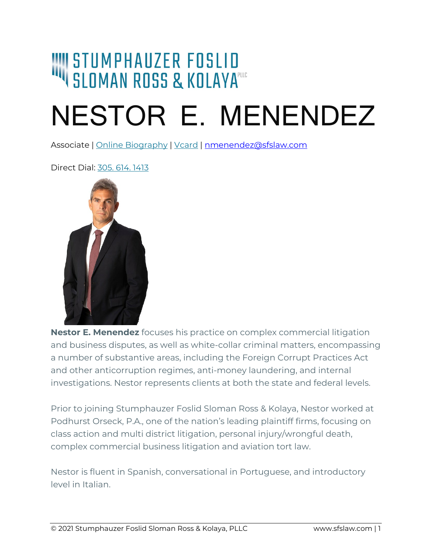# I STUMPHAUZER FOSLID<br>I SLOMAN ROSS & KOLAYA®

## NESTOR E. MENENDEZ

Associate | [Online Biography](https://sfslaw.com/litigators/nestor-e-menendez/) | [Vcard](https://sfslaw.com/card/Nestor%20E.%20Menendez.vcf) | [nmenendez@sfslaw.com](mailto:nmenendez@sfslaw.com)

Direct Dial: [305. 614. 1413](tel:1-305-614-1413)



**Nestor E. Menendez** focuses his practice on complex commercial litigation and business disputes, as well as white-collar criminal matters, encompassing a number of substantive areas, including the Foreign Corrupt Practices Act and other anticorruption regimes, anti-money laundering, and internal investigations. Nestor represents clients at both the state and federal levels.

Prior to joining Stumphauzer Foslid Sloman Ross & Kolaya, Nestor worked at Podhurst Orseck, P.A., one of the nation's leading plaintiff firms, focusing on class action and multi district litigation, personal injury/wrongful death, complex commercial business litigation and aviation tort law.

Nestor is fluent in Spanish, conversational in Portuguese, and introductory level in Italian.